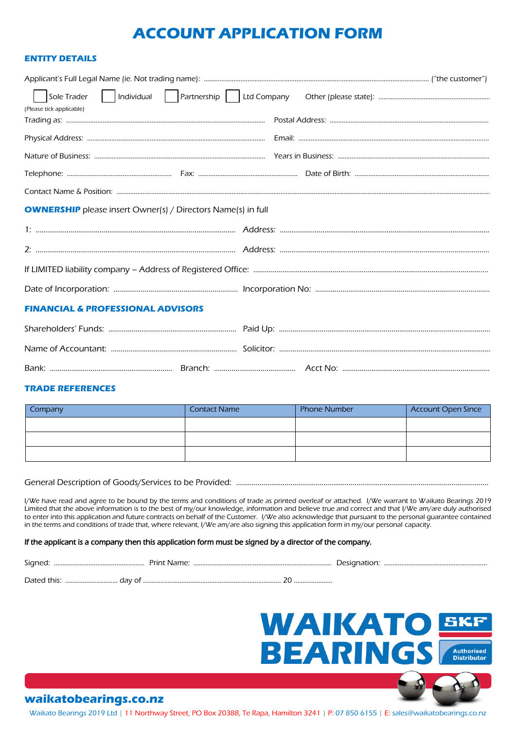# **ACCOUNT APPLICATION FORM**

### **ENTITY DETAILS**

| (Please tick applicable)                                            |  |  |  |  |  |  |
|---------------------------------------------------------------------|--|--|--|--|--|--|
|                                                                     |  |  |  |  |  |  |
|                                                                     |  |  |  |  |  |  |
|                                                                     |  |  |  |  |  |  |
|                                                                     |  |  |  |  |  |  |
|                                                                     |  |  |  |  |  |  |
|                                                                     |  |  |  |  |  |  |
| <b>OWNERSHIP</b> please insert Owner(s) / Directors Name(s) in full |  |  |  |  |  |  |
|                                                                     |  |  |  |  |  |  |
|                                                                     |  |  |  |  |  |  |
|                                                                     |  |  |  |  |  |  |
|                                                                     |  |  |  |  |  |  |
| <b>FINANCIAL &amp; PROFESSIONAL ADVISORS</b>                        |  |  |  |  |  |  |
|                                                                     |  |  |  |  |  |  |
|                                                                     |  |  |  |  |  |  |
|                                                                     |  |  |  |  |  |  |

### **TRADE REFERENCES**

| <b>Company</b> | <b>Contact Name</b> | <b>Phone Number</b> | <b>Account Open Since</b> |
|----------------|---------------------|---------------------|---------------------------|
|                |                     |                     |                           |
|                |                     |                     |                           |
|                |                     |                     |                           |

## General Description of Goods/Services to be Provided: ....………………………………………………………………………………………………………………

I/We have read and agree to be bound by the terms and conditions of trade as printed overleaf or attached. I/We warrant to Waikato Bearings 2019 Limited that the above information is to the best of my/our knowledge, information and believe true and correct and that I/We am/are duly authorised to enter into this application and future contracts on behalf of the Customer. I/We also acknowledge that pursuant to the personal guarantee contained in the terms and conditions of trade that, where relevant, I/We am/are also signing this application form in my/our personal capacity.

### If the applicant is a company then this application form must be signed by a director of the company.

| $\sim$ $\sim$<br>ngnrد | 7 I I I |  |  |
|------------------------|---------|--|--|
|                        |         |  |  |

Dated this: ………………………… day of ……………………………………………………………………. 20 ………………….

# **WAIKATO SKF BEARINGS** Authorised<br>Distributor

# **waikatobearings.co.nz**

Waikato Bearings 2019 Ltd | 11 Northway Street, PO Box 20388, Te Rapa, Hamilton 3241 | P: 07 850 6155 | E[: sales@waikatobearings.co.nz](mailto:sales@waikatobearings.co.nz)